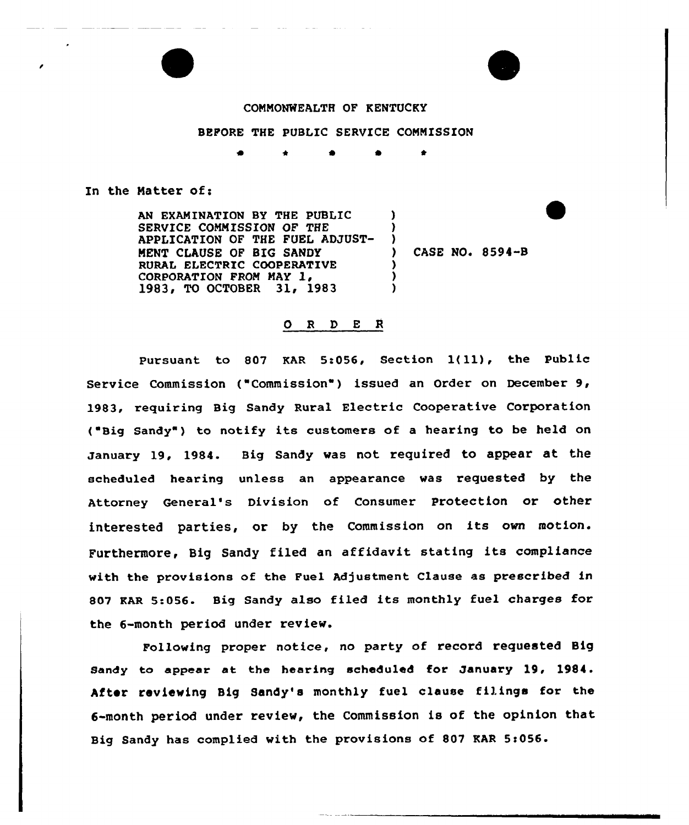## COMMONWEALTH OF KENTUCKY

## BEFORE THE PUBLIC SERVICE COMMISSION

) )  $)$ 

> ) ) )

\* 'I 4

## In the Matter of:

AN EXAMINATION BY THE PUBLIC SERVICE COMMISSION OF THE APPLICATION OF THE FUEL ADJUST-MENT CIAUSE OF BIG SANDY RURAL ELECTRIC COOPERATIVE CORPORATION FROM MAY 1, 1983, TO OCTOBER 31, 1983

CASE NO. 8594-B

## 0 <sup>R</sup> <sup>D</sup> E <sup>R</sup>

Pursuant to 807 KAR 5:056, Section 1(11), the Public Service Commission ("Commission") issued an Order on December  $9$ , 1983, requiring Big Sandy Rural Electric Cooperative Corporation ( Big Sandy" ) to notify its customers of <sup>a</sup> hearing to be held on January 19, 1984. Big Sandy was not required to appear at, the scheduled hearing unless an appearance was requested by the Attorney General's Division of Consumer Protection or other interested parties, or by the Commission on its own motion. Furthermore, Big Sandy filed an affidavit stating its compliance with the provisions of the Fuel Adjustment Clause as prescribed in 807 RAR 5:056. Big Sandy also filed its monthly fuel charges for the 6-month period under review.

Following proper notice, no party of record requested Big Sandy to appear at the hearing scheduled for January 19, 1984. After reviewing Big Sandy's monthly fuel clause filings for the 6-month period under review, the Commission is of the opinion that Big Sandy has complied with the provisions of 807 KAR 5:056.